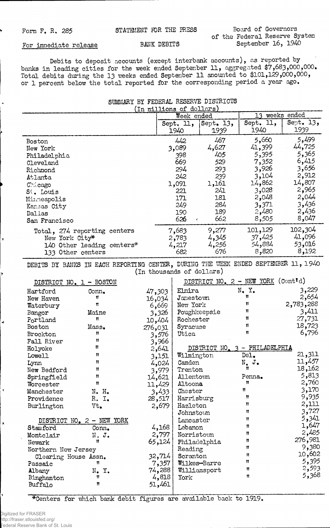Form F. R. 285 STATEMENT FOR THE PRESS

Board of Governors of the Federal Reserve System September 16, 1940

## For immediate release

## BANK DEBITS

Debits to deposit accounts (except interbank accounts), as reported by banks in leading cities for the week ended September 11, aggregated \$7,683,000,000. Total debits during the 13 weeks ended September 11 amounted to \$101,129,000,000, or 1 percent below the total reported for the corresponding period a year ago.

| SUMMARY BY FEDERAL RESERVE DISTRICTS                                                                                                    |                                                                               |                                                                               |                                                                                                   |                                                                                                            |  |
|-----------------------------------------------------------------------------------------------------------------------------------------|-------------------------------------------------------------------------------|-------------------------------------------------------------------------------|---------------------------------------------------------------------------------------------------|------------------------------------------------------------------------------------------------------------|--|
|                                                                                                                                         | (In millions of dollars)                                                      |                                                                               |                                                                                                   |                                                                                                            |  |
|                                                                                                                                         |                                                                               | Week ended                                                                    |                                                                                                   | weeks ended<br>13.                                                                                         |  |
|                                                                                                                                         | Sept. 11,<br>1940                                                             | Sept. 13,<br>1939                                                             | Sept. 11,<br>1940                                                                                 | Sept. 13,<br>1939                                                                                          |  |
| Boston<br>New York<br>Philadelphia<br>Cleveland<br>Richmond<br>Atlanta<br>Childago<br>St. Louis<br>Minneapolis<br>Kansas City<br>Dallas | 442<br>3,089<br>398<br>669<br>294<br>242<br>1,091<br>221<br>171<br>249<br>190 | 467<br>4,627<br>405<br>529<br>293<br>239<br>1,161<br>241<br>181<br>284<br>189 | 5,660<br>41,399<br>5,395<br>7,352<br>3,926<br>3,104<br>14,862<br>3,028<br>2,048<br>3,371<br>2,480 | 5,499<br>44,725<br>5,365<br>6,415<br>3,656<br>2,912<br>14,807<br>2,965<br>2,044<br>3,436<br>2,436<br>8,047 |  |
| San Francisco                                                                                                                           | 626                                                                           | 662<br>$\mathcal{L}_{\mathcal{L}}$                                            | 8,505                                                                                             |                                                                                                            |  |
| Total, 274 reporting centers<br>New York City*<br>140 Other leading centers*<br>133 Other centers                                       | 7,683<br>2,783<br>4,217<br>682                                                | 9,277<br>4,345<br>4,256<br>676                                                | 101,129<br>37,425<br>54,884<br>8,820                                                              | 102,304<br>41,096<br>53,016<br>8,192                                                                       |  |

DEBITS BY BANKS IN EACH REPORTING CENTER, DURING THE WEEK ENDED SEPTEMBER 11, 1940 (In thousands of dollars)

|                                                                                                                              | DISTRICT NO. 1 - BOSTON                                                                        |                                                                                             | DISTRICT NO. 2 - NEW YORK (Cont'd)                                                                                |                                                                               |                                                                                  |
|------------------------------------------------------------------------------------------------------------------------------|------------------------------------------------------------------------------------------------|---------------------------------------------------------------------------------------------|-------------------------------------------------------------------------------------------------------------------|-------------------------------------------------------------------------------|----------------------------------------------------------------------------------|
| Hartford<br>New Haven<br>Waterbury<br>Bangor<br>Portland<br>Boston<br>Brockton<br>Fall River<br>Holyoke<br>Lowell            | Conn.<br>Ħ<br>Ħ<br>Maine<br>n<br>Mass.<br>11<br>Ħ<br>Ħ<br>Ħ                                    | 47,303<br>16,034<br>6,669<br>3,326<br>10,404<br>276,031<br>3,576<br>3,966<br>2,641<br>3,151 | Elnira<br>Janestown<br>New York<br>Poughkeepsie<br>Rochester<br>Syracuse<br>Utica<br>Wilmington                   | N.Y.<br>Ħ<br>Ħ<br>11<br>Ħ<br>11<br>Ħ<br>DISTRICT NO. 3 - PHILADELPHIA<br>De1. | 3,229<br>2,654<br>2,783,288<br>3,411<br>27,731<br>18,723<br>6,796<br>21,311      |
| Lynn<br>New Bedford<br>Springfield<br>Worcester<br>Manchester<br>Providence<br>Burlington                                    | Ħ<br>Ħ<br>11<br>Ħ<br>N. H.<br>R. I.<br>Vt.                                                     | 4,024<br>3,979<br>14,621<br>11,429<br>3,433<br>28,517<br>2,679                              | Camden<br>Trenton<br>Allentown<br>Altoona<br>Chester<br>Harrisburg<br>Hazleton<br>Johnstown                       | $N_{\bullet}$ J.<br>Ħ<br>Penna.<br>n<br>Ħ<br>Ħ<br>Ħ<br>$\mathbf{H}$           | 11,457<br>18,162<br>5,813<br>2,760<br>3,170<br>9,935<br>2,111<br>3,727           |
| Stamford<br>Montclair<br>Newark<br>Northern New Jersey<br>Clearing House Assn.<br>Passaic<br>Albany<br>Binghamton<br>Buffalo | DISTRICT NO. 2 - NEW YORK<br>Conn.<br>N. J.<br>Ħ<br>n<br>$N_{\bullet}$ $Y_{\bullet}$<br>Ħ<br>Ħ | 4,168<br>2,797<br>65,124<br>32,714<br>7,357<br>74,288<br>4,818<br>51,461                    | Lancaster<br>Lebanon<br>Norristown<br>Philadelphia<br>Reading<br>Scranton<br>Wilkes-Barre<br>Williamsport<br>York | Ħ<br>Ħ<br>Ħ<br>Ħ<br>Ħ<br>Ħ<br>Ħ<br>Ħ<br>Ħ                                     | 5,341<br>1,647<br>2,485<br>276,981<br>9,380<br>10,602<br>5,395<br>2,593<br>5,368 |

\*Centers for which bank debit figures are available back to 1919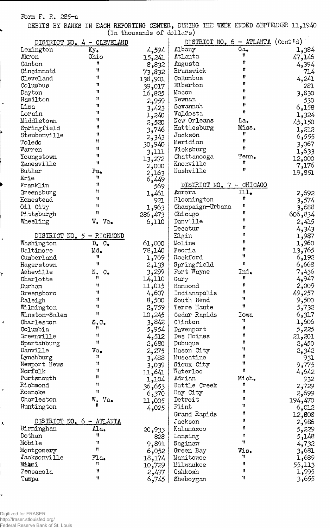Form F. R. 285-a

Ļ

 $\mathbf{\bar{z}}$ 

 $\ddot{\phantom{1}}$ 

 $\pmb{\tau}$ 

 $\blacktriangle$ 

1

DEBITS BY BANKS IN EACH REPORTING CENTER, DURING THE WEEK ENDED SEPTEMBER 11,1940 (in thousands of dollars)

|               |                                   | (In programas or corrers) |                                            |              |         |
|---------------|-----------------------------------|---------------------------|--------------------------------------------|--------------|---------|
|               | DISTRICT NO. 4 - CLEVELAND        |                           | DISTRICT NO. $6 - \text{ATLANTA}$ (Cont'd) |              |         |
| Lexington     | Ky.                               | 4,594                     | Albany                                     | Ga.          | 1,384   |
| Akron         | Ohio                              | 15,241                    | Atlanta                                    | Ħ            | 47,146  |
| Canton        | Ħ                                 | 8,832                     | Augusta                                    | Ħ            | 4,394   |
| Cincinnati    | Ħ                                 |                           | Brunswick                                  | Ħ            | 714     |
| Cleveland     | Ħ                                 | 73,832                    | Columbus                                   | Ħ            |         |
| Columbus      | Ħ                                 | 138,901                   | Elberton                                   | Ħ            | 4,241   |
|               | Ħ                                 | 39,017                    |                                            | Ħ            | 281     |
| Dayton        | Ħ                                 | 16,825                    | Macon                                      | n            | 3,830   |
| Hamilton      |                                   | 2,959                     | Newnan                                     | n            | 530     |
| Lima          | Ħ                                 | 3,423                     | Savannah                                   | Ħ            | 6,158   |
| Lorain        | Ħ                                 | 1,240                     | Valdosta                                   |              | 1,324   |
| Middletown    | 11                                | 2,520                     | New Orleans                                | La.          | 45,150  |
| Springfield   | Ħ                                 | 3,746                     | Hattiesburg                                | Miss.        | 1,212   |
| Steubenville  | Ħ                                 | 2,343                     | Jackson                                    | Ħ            | 6,555   |
| Toledo        | 11                                | 30,940                    | Meridian                                   | Ħ            | 3,067   |
| Warren        | Ħ                                 | 3,111                     | Vicksburg                                  | Ħ            | 1,633   |
| Youngstown    | Ħ                                 |                           | Chattanooga                                | Tenn.        | 12,000  |
| Zanesville    | Ħ                                 | 13,272                    | Knoxville                                  | Ħ            |         |
| Butler        | Pa.                               | 2,000                     | Nashville                                  | 11           | 7,176   |
| Erie          | n                                 | 2,163                     |                                            |              | 19,851  |
| Franklin      | 11                                | 6,449                     | DISTRICT NO. 7 - CHICAGO                   |              |         |
|               | Ħ                                 | 569                       |                                            |              |         |
| Greensburg    |                                   | 1,461                     | Aurora                                     | Ill.<br>11   | 2,692   |
| Homestead     | Ħ                                 | 921                       | Bloomington                                |              | 3,574   |
| Oil City      | 11                                | 1,963                     | Champaign-Urbana                           | 11           | 3,688   |
| Pittsburgh    | Ħ                                 | 286,473                   | Chicago                                    | Ħ            | 606,834 |
| Wheeling      | W. Va.                            | 6,110                     | Danville                                   | Ħ            | 2,415   |
|               |                                   |                           | Decatur                                    | Ħ            | 4,343   |
|               | DISTRICT NO. 5 - RICHMOND         |                           | Elgin                                      | Ħ            | 1,987   |
| Washington    | $D_{\bullet}$ $C_{\bullet}$       | 61,000                    | Moline                                     | Ħ            | 1,960   |
| Baltimore     | Md.                               | 78,140                    | Peoria                                     | Ħ            | 13,765  |
| Cumberland    | Ħ                                 | 1,769                     | Rockford                                   | Ħ            | 6,192   |
| Hagerstown    | Ħ                                 |                           | Springfield                                | $\mathbf{u}$ | 6,668   |
|               |                                   | 2,133                     | Fort Wayne                                 | Ind.         |         |
| Asheville     | N.<br>$\mathbb{C}_{\bullet}$<br>Ħ | 3,299                     |                                            | Ħ            | 7,436   |
| Charlotte     |                                   | 14,110                    | Gary                                       | Ħ            | 4,947   |
| Durham        | n                                 | 11,015                    | Hammond                                    |              | 2,009   |
| Greensboro    | 11                                | 4,607                     | Indianapolis                               | Ħ            | 49,257  |
| Raleigh       | 11                                | 8,500                     | South Bend                                 |              | 9,500   |
| Wilmington    | Ħ                                 | 2,759                     | Terre Haute                                | Ħ            | 5,732   |
| Winston-Salem | Ħ                                 | 10,245                    | Cedar Rapids                               | <b>Iowa</b>  | 6,317   |
| Charleston    | S.C.                              | 3,842                     | Clinton                                    | Ħ            | 1,606   |
| Columbia      | Ħ                                 | 5,954                     | Davenport                                  | Ħ            | 5,225   |
| Greenville    | Ħ                                 | 4,512                     | Des Moines                                 | Ħ            | 21,201  |
| Spartanburg   | Ħ                                 | 2,680                     | Dubuque                                    | Ħ            | 2,450   |
| Danville      | Va.                               | 2,275                     | Mason City                                 | Ħ            | 2,342   |
| Lynchburg     | n                                 | 3,488                     | Muscatine                                  | Ħ            | 931     |
| Newport News  | Ħ                                 | 3,039                     | Sioux City                                 | Ħ            | 9,775   |
| Norfolk       | Ħ                                 |                           | Waterloo                                   | Ħ            | 4,642   |
| Portsmouth    | n                                 | 11,641                    | Adrian                                     | Mich.        |         |
| Richmond      | Ħ                                 | 1,104                     | Battle Creek                               | n            | 932     |
|               | Ħ                                 | 36,653                    |                                            | n            | 2,729   |
| Roanoke       |                                   | 6,370                     | Bay City                                   | Ħ            | 2,699   |
| Charleston    | W.<br>$Va_{\bullet}$<br>Ħ         | 11,005                    | Detroit                                    | Ħ            | 194,470 |
| Huntington    |                                   | 4,025                     | Flint                                      |              | 6,012   |
|               |                                   |                           | Grand Rapids                               | n            | 12,808  |
|               | DISTRICT NO. 6 - ATLANTA          |                           | Jackson                                    | Ħ            | 2,986   |
| Birmingham    | Ala.                              | 20,933                    | Kalanazoo                                  | Ħ            | 5,229   |
| Dothan        | n                                 | 828                       | Lansing                                    | Ħ            | 5,148   |
| Mobile        | Ħ                                 | 9,891                     | Saginaw                                    | Ħ            | 4,732   |
| Montgomery    | Ħ                                 | 6,052                     | Green Bay                                  | Wis.         | 3,681   |
| Jacksonville  | Fla.                              | 18,174                    | Manitowoc                                  | n            | 1,689   |
| Miami         | Ħ                                 |                           | Milwaukee                                  | Ħ            | 55,113  |
| Pensacola     | 11                                | 10,729                    | Oshkosh                                    | 11           |         |
|               | 11                                | 2,497                     |                                            | Ħ            | 1,995   |
| Tampa         |                                   | 6,745                     | Sheboygan                                  |              | 3,655   |